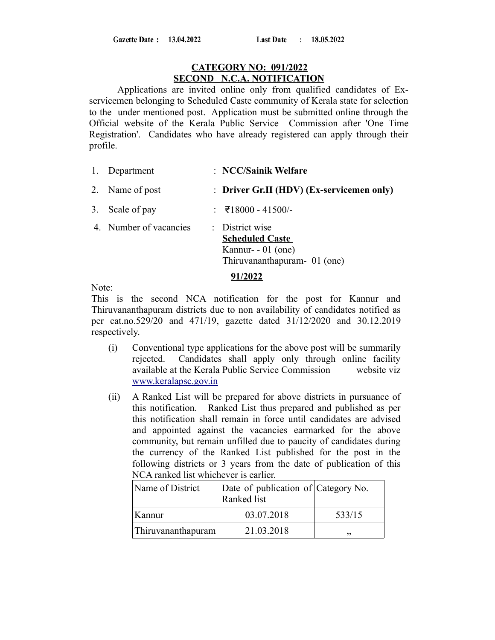### **CATEGORY NO: 091/2022 SECOND N.C.A. NOTIFICATION**

Applications are invited online only from qualified candidates of Exservicemen belonging to Scheduled Caste community of Kerala state for selection to the under mentioned post. Application must be submitted online through the Official website of the Kerala Public Service Commission after 'One Time Registration'. Candidates who have already registered can apply through their profile.

- 1. Department : **NCC/Sainik Welfare**
- 2. Name of post : **Driver Gr.II (HDV) (Ex-servicemen only)**
- 3. Scale of pay : ₹18000 41500/-
- 4. Number of vacancies : District wise **Scheduled Caste**  Kannur- - 01 (one) Thiruvananthapuram- 01 (one)

#### **91/2022**

Note:

This is the second NCA notification for the post for Kannur and Thiruvananthapuram districts due to non availability of candidates notified as per cat.no.529/20 and 471/19, gazette dated 31/12/2020 and 30.12.2019 respectively.

- (i) Conventional type applications for the above post will be summarily rejected. Candidates shall apply only through online facility available at the Kerala Public Service Commission website viz  [www.keralapsc.g](http://www.keralapsc.org/)ov.in
- (ii) A Ranked List will be prepared for above districts in pursuance of this notification. Ranked List thus prepared and published as per this notification shall remain in force until candidates are advised and appointed against the vacancies earmarked for the above community, but remain unfilled due to paucity of candidates during the currency of the Ranked List published for the post in the following districts or 3 years from the date of publication of this NCA ranked list whichever is earlier.

| Name of District   | Date of publication of Category No.<br>Ranked list |        |
|--------------------|----------------------------------------------------|--------|
| Kannur             | 03.07.2018                                         | 533/15 |
| Thiruvananthapuram | 21.03.2018                                         | ,,     |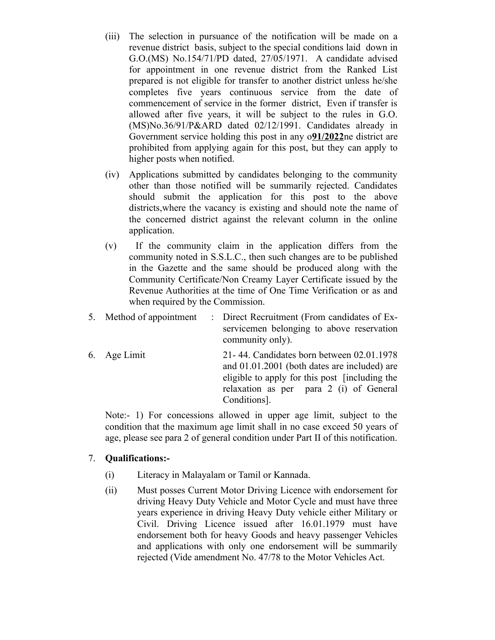- (iii) The selection in pursuance of the notification will be made on a revenue district basis, subject to the special conditions laid down in G.O.(MS) No.154/71/PD dated, 27/05/1971. A candidate advised for appointment in one revenue district from the Ranked List prepared is not eligible for transfer to another district unless he/she completes five years continuous service from the date of commencement of service in the former district, Even if transfer is allowed after five years, it will be subject to the rules in G.O. (MS)No.36/91/P&ARD dated 02/12/1991. Candidates already in Government service holding this post in any o**91/2022**ne district are prohibited from applying again for this post, but they can apply to higher posts when notified.
- (iv) Applications submitted by candidates belonging to the community other than those notified will be summarily rejected. Candidates should submit the application for this post to the above districts,where the vacancy is existing and should note the name of the concerned district against the relevant column in the online application.
- (v) If the community claim in the application differs from the community noted in S.S.L.C., then such changes are to be published in the Gazette and the same should be produced along with the Community Certificate/Non Creamy Layer Certificate issued by the Revenue Authorities at the time of One Time Verification or as and when required by the Commission.
- 5. Method of appointment : Direct Recruitment (From candidates of Exservicemen belonging to above reservation community only).
- 6. Age Limit 21- 44. Candidates born between 02.01.1978 and 01.01.2001 (both dates are included) are eligible to apply for this post [including the relaxation as per para 2 (i) of General Conditions].

Note:- 1) For concessions allowed in upper age limit, subject to the condition that the maximum age limit shall in no case exceed 50 years of age, please see para 2 of general condition under Part II of this notification.

# 7. **Qualifications:-**

- (i) Literacy in Malayalam or Tamil or Kannada.
- (ii) Must posses Current Motor Driving Licence with endorsement for driving Heavy Duty Vehicle and Motor Cycle and must have three years experience in driving Heavy Duty vehicle either Military or Civil. Driving Licence issued after 16.01.1979 must have endorsement both for heavy Goods and heavy passenger Vehicles and applications with only one endorsement will be summarily rejected (Vide amendment No. 47/78 to the Motor Vehicles Act.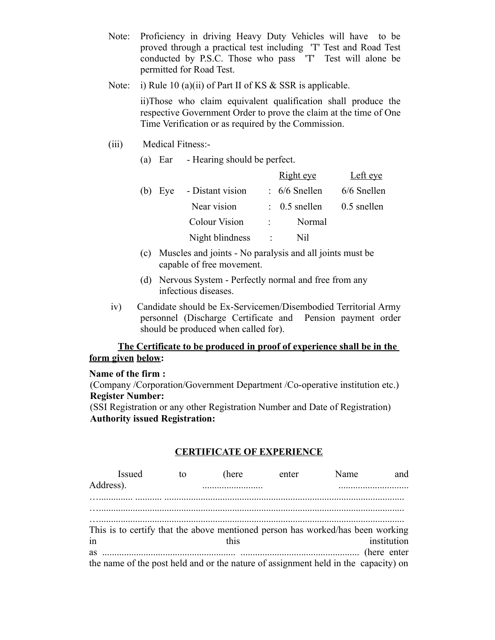- Note: Proficiency in driving Heavy Duty Vehicles will have to be proved through a practical test including 'T' Test and Road Test conducted by P.S.C. Those who pass 'T' Test will alone be permitted for Road Test.
- Note: i) Rule 10 (a)(ii) of Part II of KS & SSR is applicable.

ii)Those who claim equivalent qualification shall produce the respective Government Order to prove the claim at the time of One Time Verification or as required by the Commission.

- (iii) Medical Fitness:-
	- (a) Ear Hearing should be perfect.

|  |                          |                | <b>Right</b> eye                     | Left eye      |
|--|--------------------------|----------------|--------------------------------------|---------------|
|  | (b) Eye - Distant vision |                | $: 6/6$ Snellen                      | 6/6 Snellen   |
|  | Near vision              |                | $\therefore$ 0.5 snellen             | $0.5$ snellen |
|  | <b>Colour Vision</b>     |                | Normal<br>$\mathcal{L}^{\text{max}}$ |               |
|  | Night blindness          | $\mathbb{R}^n$ | Nil                                  |               |
|  |                          |                |                                      |               |

- (c) Muscles and joints No paralysis and all joints must be capable of free movement.
- (d) Nervous System Perfectly normal and free from any infectious diseases.
- iv) Candidate should be Ex-Servicemen/Disembodied Territorial Army personnel (Discharge Certificate and Pension payment order should be produced when called for).

# **The Certificate to be produced in proof of experience shall be in the form given below:**

#### **Name of the firm :**

(Company /Corporation/Government Department /Co-operative institution etc.) **Register Number:**

(SSI Registration or any other Registration Number and Date of Registration) **Authority issued Registration:**

# **CERTIFICATE OF EXPERIENCE**

| <b>Issued</b>                                                                  | to | (here) | enter | Name                                                                               | and         |
|--------------------------------------------------------------------------------|----|--------|-------|------------------------------------------------------------------------------------|-------------|
| Address).                                                                      |    |        |       |                                                                                    |             |
|                                                                                |    |        |       |                                                                                    |             |
|                                                                                |    |        |       |                                                                                    |             |
| This is to certify that the above mentioned person has worked/has been working |    |        |       |                                                                                    |             |
| in                                                                             |    | this   |       |                                                                                    | institution |
| <b>as</b>                                                                      |    |        |       |                                                                                    |             |
|                                                                                |    |        |       | the name of the post held and or the nature of assignment held in the capacity) on |             |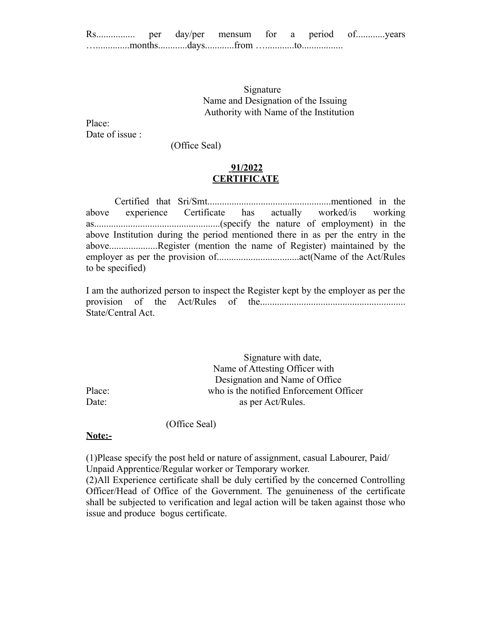Signature Name and Designation of the Issuing Authority with Name of the Institution

Place: Date of issue :

(Office Seal)

## **91/2022 CERTIFICATE**

Certified that Sri/Smt...................................................mentioned in the above experience Certificate has actually worked/is working as....................................................(specify the nature of employment) in the above Institution during the period mentioned there in as per the entry in the above....................Register (mention the name of Register) maintained by the employer as per the provision of..................................act(Name of the Act/Rules to be specified)

I am the authorized person to inspect the Register kept by the employer as per the provision of the Act/Rules of the............................................................ State/Central Act.

 Signature with date, Name of Attesting Officer with Designation and Name of Office Place: who is the notified Enforcement Officer Date: as per Act/Rules.

(Office Seal)

#### **Note:-**

(1)Please specify the post held or nature of assignment, casual Labourer, Paid/ Unpaid Apprentice/Regular worker or Temporary worker.

(2)All Experience certificate shall be duly certified by the concerned Controlling Officer/Head of Office of the Government. The genuineness of the certificate shall be subjected to verification and legal action will be taken against those who issue and produce bogus certificate.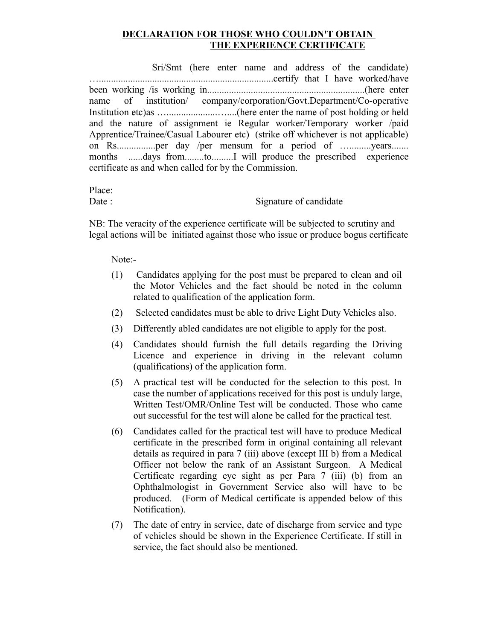# **DECLARATION FOR THOSE WHO COULDN'T OBTAIN THE EXPERIENCE CERTIFICATE**

 Sri/Smt (here enter name and address of the candidate) …........................................................................certify that I have worked/have been working /is working in.................................................................(here enter name of institution/ company/corporation/Govt.Department/Co-operative Institution etc)as ….....................…....(here enter the name of post holding or held and the nature of assignment ie Regular worker/Temporary worker /paid Apprentice/Trainee/Casual Labourer etc) (strike off whichever is not applicable) on Rs................per day /per mensum for a period of ….........years....... months ......days from........to.........I will produce the prescribed experience certificate as and when called for by the Commission.

Place:

Date : Signature of candidate

NB: The veracity of the experience certificate will be subjected to scrutiny and legal actions will be initiated against those who issue or produce bogus certificate

Note:-

- (1) Candidates applying for the post must be prepared to clean and oil the Motor Vehicles and the fact should be noted in the column related to qualification of the application form.
- (2) Selected candidates must be able to drive Light Duty Vehicles also.
- (3) Differently abled candidates are not eligible to apply for the post.
- (4) Candidates should furnish the full details regarding the Driving Licence and experience in driving in the relevant column (qualifications) of the application form.
- (5) A practical test will be conducted for the selection to this post. In case the number of applications received for this post is unduly large, Written Test/OMR/Online Test will be conducted. Those who came out successful for the test will alone be called for the practical test.
- (6) Candidates called for the practical test will have to produce Medical certificate in the prescribed form in original containing all relevant details as required in para 7 (iii) above (except III b) from a Medical Officer not below the rank of an Assistant Surgeon. A Medical Certificate regarding eye sight as per Para 7 (iii) (b) from an Ophthalmologist in Government Service also will have to be produced. (Form of Medical certificate is appended below of this Notification).
- (7) The date of entry in service, date of discharge from service and type of vehicles should be shown in the Experience Certificate. If still in service, the fact should also be mentioned.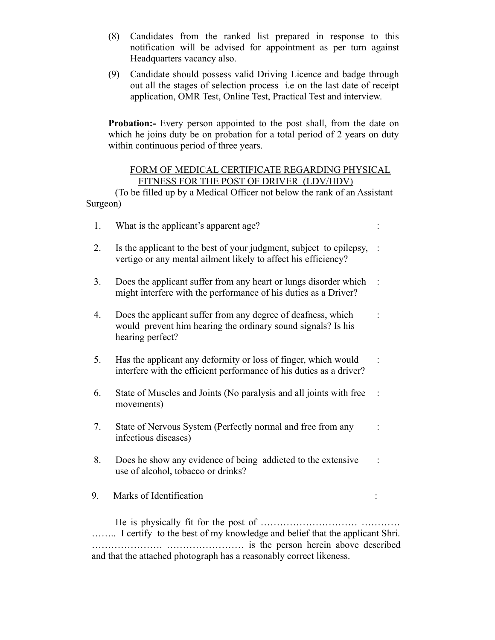- (8) Candidates from the ranked list prepared in response to this notification will be advised for appointment as per turn against Headquarters vacancy also.
- (9) Candidate should possess valid Driving Licence and badge through out all the stages of selection process i.e on the last date of receipt application, OMR Test, Online Test, Practical Test and interview.

**Probation:**- Every person appointed to the post shall, from the date on which he joins duty be on probation for a total period of 2 years on duty within continuous period of three years.

### FORM OF MEDICAL CERTIFICATE REGARDING PHYSICAL FITNESS FOR THE POST OF DRIVER (LDV/HDV)

(To be filled up by a Medical Officer not below the rank of an Assistant Surgeon)

| 1. | What is the applicant's apparent age?                                                                                                            |  |
|----|--------------------------------------------------------------------------------------------------------------------------------------------------|--|
| 2. | Is the applicant to the best of your judgment, subject to epilepsy,<br>vertigo or any mental ailment likely to affect his efficiency?            |  |
| 3. | Does the applicant suffer from any heart or lungs disorder which<br>might interfere with the performance of his duties as a Driver?              |  |
| 4. | Does the applicant suffer from any degree of deafness, which<br>would prevent him hearing the ordinary sound signals? Is his<br>hearing perfect? |  |
| 5. | Has the applicant any deformity or loss of finger, which would<br>interfere with the efficient performance of his duties as a driver?            |  |
| 6. | State of Muscles and Joints (No paralysis and all joints with free<br>movements)                                                                 |  |
| 7. | State of Nervous System (Perfectly normal and free from any<br>infectious diseases)                                                              |  |
| 8. | Does he show any evidence of being addicted to the extensive<br>use of alcohol, tobacco or drinks?                                               |  |
| 9. | Marks of Identification                                                                                                                          |  |
|    | He is physically fit for the post of.<br>I certify to the best of my knowledge and belief that the applicant Shri.                               |  |

and that the attached photograph has a reasonably correct likeness.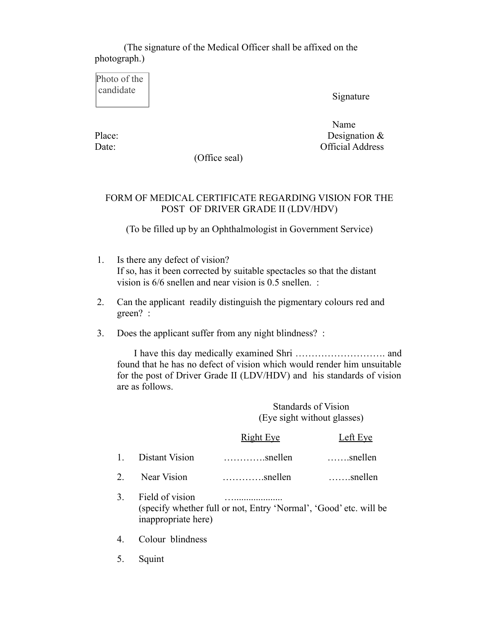# (The signature of the Medical Officer shall be affixed on the photograph.)

Photo of the candidate

Signature

Name Name Place: Designation & Date: Official Address

(Office seal)

## FORM OF MEDICAL CERTIFICATE REGARDING VISION FOR THE POST OF DRIVER GRADE II (LDV/HDV)

(To be filled up by an Ophthalmologist in Government Service)

- 1. Is there any defect of vision? If so, has it been corrected by suitable spectacles so that the distant vision is 6/6 snellen and near vision is 0.5 snellen. :
- 2. Can the applicant readily distinguish the pigmentary colours red and green? :
- 3. Does the applicant suffer from any night blindness? :

 I have this day medically examined Shri ………………………. and found that he has no defect of vision which would render him unsuitable for the post of Driver Grade II (LDV/HDV) and his standards of vision are as follows.

> Standards of Vision (Eye sight without glasses)

|   |                   | <b>Right Eye</b>               | Left Eye         |
|---|-------------------|--------------------------------|------------------|
|   | 1. Distant Vision | $\ldots \ldots \ldots$ snellen | $\ldots$ snellen |
| 2 | Near Vision       | $\ldots \ldots \ldots$ snellen | $\ldots$ snellen |

- 3. Field of vision ….................... (specify whether full or not, Entry 'Normal', 'Good' etc. will be inappropriate here)
- 4. Colour blindness
- 5. Squint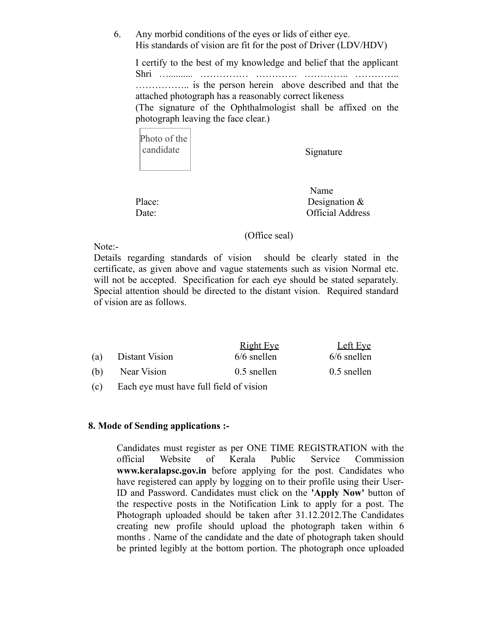6. Any morbid conditions of the eyes or lids of either eye. His standards of vision are fit for the post of Driver (LDV/HDV)

I certify to the best of my knowledge and belief that the applicant Shri ….......... …………… …………. ………….. ………….. …………….. is the person herein above described and that the attached photograph has a reasonably correct likeness (The signature of the Ophthalmologist shall be affixed on the photograph leaving the face clear.)

| Photo of the |
|--------------|
| candidate    |
|              |

Signature

 Name Place: Designation & Date: Official Address

### (Office seal)

Note:-

Details regarding standards of vision should be clearly stated in the certificate, as given above and vague statements such as vision Normal etc. will not be accepted. Specification for each eye should be stated separately. Special attention should be directed to the distant vision. Required standard of vision are as follows.

|     |                | <b>Right Eye</b> | Left Eye      |
|-----|----------------|------------------|---------------|
| (a) | Distant Vision | $6/6$ snellen    | $6/6$ snellen |
| (b) | Near Vision    | $0.5$ snellen    | 0.5 snellen   |
|     |                |                  |               |

(c) Each eye must have full field of vision

### **8. Mode of Sending applications :-**

Candidates must register as per ONE TIME REGISTRATION with the official Website of Kerala Public Service Commission **www.keralapsc.gov.in** before applying for the post. Candidates who have registered can apply by logging on to their profile using their User-ID and Password. Candidates must click on the **'Apply Now'** button of the respective posts in the Notification Link to apply for a post. The Photograph uploaded should be taken after 31.12.2012.The Candidates creating new profile should upload the photograph taken within 6 months . Name of the candidate and the date of photograph taken should be printed legibly at the bottom portion. The photograph once uploaded